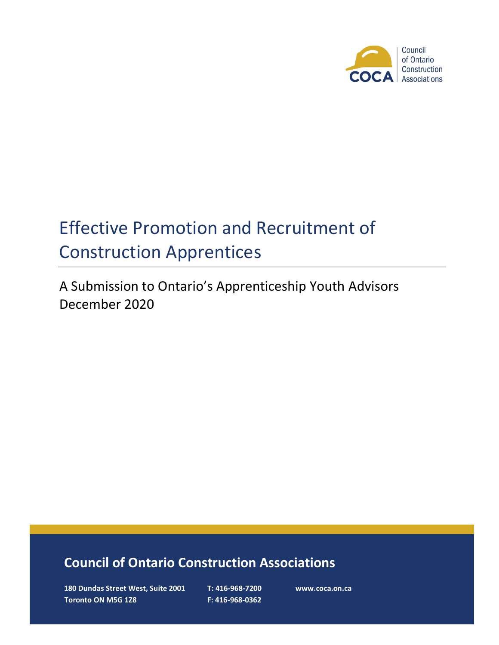

# Effective Promotion and Recruitment of Construction Apprentices

A Submission to Ontario's Apprenticeship Youth Advisors December 2020

# **Council of Ontario Construction Associations**

**180 Dundas Street West, Suite 2001 T: 416-968-7200 www.coca.on.ca Toronto ON M5G 1Z8 F: 416-968-0362**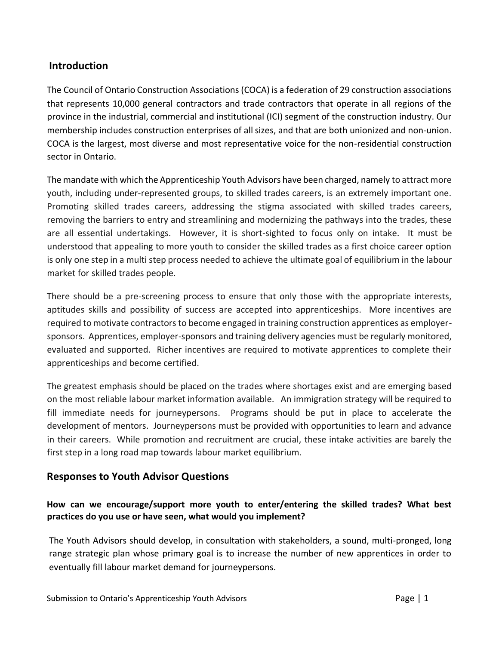# **Introduction**

The Council of Ontario Construction Associations (COCA) is a federation of 29 construction associations that represents 10,000 general contractors and trade contractors that operate in all regions of the province in the industrial, commercial and institutional (ICI) segment of the construction industry. Our membership includes construction enterprises of all sizes, and that are both unionized and non-union. COCA is the largest, most diverse and most representative voice for the non-residential construction sector in Ontario.

The mandate with which the Apprenticeship Youth Advisors have been charged, namely to attract more youth, including under-represented groups, to skilled trades careers, is an extremely important one. Promoting skilled trades careers, addressing the stigma associated with skilled trades careers, removing the barriers to entry and streamlining and modernizing the pathways into the trades, these are all essential undertakings. However, it is short-sighted to focus only on intake. It must be understood that appealing to more youth to consider the skilled trades as a first choice career option is only one step in a multi step process needed to achieve the ultimate goal of equilibrium in the labour market for skilled trades people.

There should be a pre-screening process to ensure that only those with the appropriate interests, aptitudes skills and possibility of success are accepted into apprenticeships. More incentives are required to motivate contractors to become engaged in training construction apprentices as employersponsors. Apprentices, employer-sponsors and training delivery agencies must be regularly monitored, evaluated and supported. Richer incentives are required to motivate apprentices to complete their apprenticeships and become certified.

The greatest emphasis should be placed on the trades where shortages exist and are emerging based on the most reliable labour market information available. An immigration strategy will be required to fill immediate needs for journeypersons. Programs should be put in place to accelerate the development of mentors. Journeypersons must be provided with opportunities to learn and advance in their careers. While promotion and recruitment are crucial, these intake activities are barely the first step in a long road map towards labour market equilibrium.

# **Responses to Youth Advisor Questions**

#### **How can we encourage/support more youth to enter/entering the skilled trades? What best practices do you use or have seen, what would you implement?**

The Youth Advisors should develop, in consultation with stakeholders, a sound, multi-pronged, long range strategic plan whose primary goal is to increase the number of new apprentices in order to eventually fill labour market demand for journeypersons.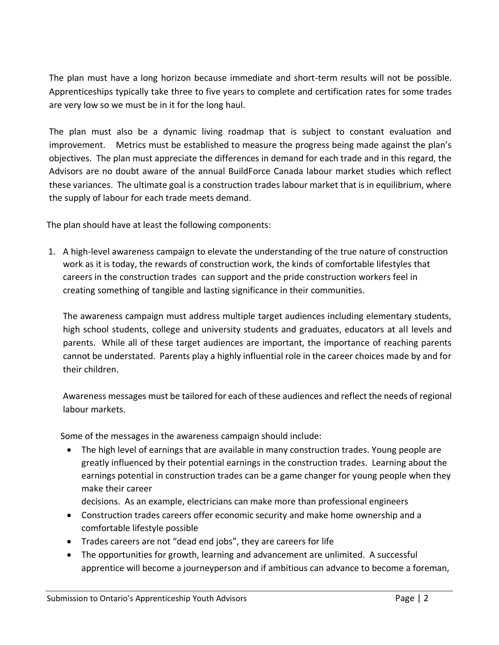The plan must have a long horizon because immediate and short-term results will not be possible. Apprenticeships typically take three to five years to complete and certification rates for some trades are very low so we must be in it for the long haul.

The plan must also be a dynamic living roadmap that is subject to constant evaluation and improvement. Metrics must be established to measure the progress being made against the plan's objectives. The plan must appreciate the differences in demand for each trade and in this regard, the Advisors are no doubt aware of the annual BuildForce Canada labour market studies which reflect these variances. The ultimate goal is a construction trades labour market that is in equilibrium, where the supply of labour for each trade meets demand.

The plan should have at least the following components:

1. A high-level awareness campaign to elevate the understanding of the true nature of construction work as it is today, the rewards of construction work, the kinds of comfortable lifestyles that careers in the construction trades can support and the pride construction workers feel in creating something of tangible and lasting significance in their communities.

The awareness campaign must address multiple target audiences including elementary students, high school students, college and university students and graduates, educators at all levels and parents. While all of these target audiences are important, the importance of reaching parents cannot be understated. Parents play a highly influential role in the career choices made by and for their children.

Awareness messages must be tailored for each of these audiences and reflect the needs of regional labour markets.

Some of the messages in the awareness campaign should include:

• The high level of earnings that are available in many construction trades. Young people are greatly influenced by their potential earnings in the construction trades. Learning about the earnings potential in construction trades can be a game changer for young people when they make their career

decisions. As an example, electricians can make more than professional engineers

- Construction trades careers offer economic security and make home ownership and a comfortable lifestyle possible
- Trades careers are not "dead end jobs", they are careers for life
- The opportunities for growth, learning and advancement are unlimited. A successful apprentice will become a journeyperson and if ambitious can advance to become a foreman,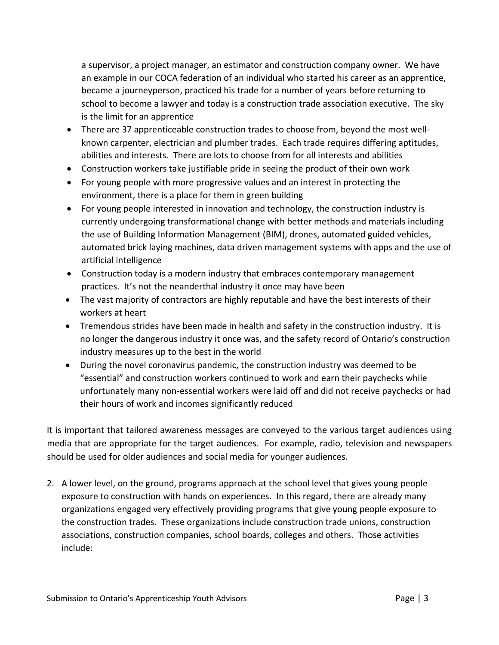a supervisor, a project manager, an estimator and construction company owner. We have an example in our COCA federation of an individual who started his career as an apprentice, became a journeyperson, practiced his trade for a number of years before returning to school to become a lawyer and today is a construction trade association executive. The sky is the limit for an apprentice

- There are 37 apprenticeable construction trades to choose from, beyond the most wellknown carpenter, electrician and plumber trades. Each trade requires differing aptitudes, abilities and interests. There are lots to choose from for all interests and abilities
- Construction workers take justifiable pride in seeing the product of their own work
- For young people with more progressive values and an interest in protecting the environment, there is a place for them in green building
- For young people interested in innovation and technology, the construction industry is currently undergoing transformational change with better methods and materials including the use of Building Information Management (BIM), drones, automated guided vehicles, automated brick laying machines, data driven management systems with apps and the use of artificial intelligence
- Construction today is a modern industry that embraces contemporary management practices. It's not the neanderthal industry it once may have been
- The vast majority of contractors are highly reputable and have the best interests of their workers at heart
- Tremendous strides have been made in health and safety in the construction industry. It is no longer the dangerous industry it once was, and the safety record of Ontario's construction industry measures up to the best in the world
- During the novel coronavirus pandemic, the construction industry was deemed to be "essential" and construction workers continued to work and earn their paychecks while unfortunately many non-essential workers were laid off and did not receive paychecks or had their hours of work and incomes significantly reduced

It is important that tailored awareness messages are conveyed to the various target audiences using media that are appropriate for the target audiences. For example, radio, television and newspapers should be used for older audiences and social media for younger audiences.

2. A lower level, on the ground, programs approach at the school level that gives young people exposure to construction with hands on experiences. In this regard, there are already many organizations engaged very effectively providing programs that give young people exposure to the construction trades. These organizations include construction trade unions, construction associations, construction companies, school boards, colleges and others. Those activities include: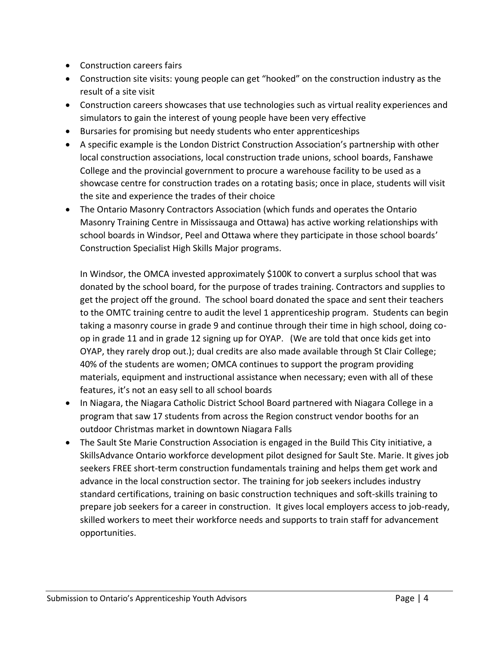- Construction careers fairs
- Construction site visits: young people can get "hooked" on the construction industry as the result of a site visit
- Construction careers showcases that use technologies such as virtual reality experiences and simulators to gain the interest of young people have been very effective
- Bursaries for promising but needy students who enter apprenticeships
- A specific example is the London District Construction Association's partnership with other local construction associations, local construction trade unions, school boards, Fanshawe College and the provincial government to procure a warehouse facility to be used as a showcase centre for construction trades on a rotating basis; once in place, students will visit the site and experience the trades of their choice
- The Ontario Masonry Contractors Association (which funds and operates the Ontario Masonry Training Centre in Mississauga and Ottawa) has active working relationships with school boards in Windsor, Peel and Ottawa where they participate in those school boards' Construction Specialist High Skills Major programs.

In Windsor, the OMCA invested approximately \$100K to convert a surplus school that was donated by the school board, for the purpose of trades training. Contractors and supplies to get the project off the ground. The school board donated the space and sent their teachers to the OMTC training centre to audit the level 1 apprenticeship program. Students can begin taking a masonry course in grade 9 and continue through their time in high school, doing coop in grade 11 and in grade 12 signing up for OYAP. (We are told that once kids get into OYAP, they rarely drop out.); dual credits are also made available through St Clair College; 40% of the students are women; OMCA continues to support the program providing materials, equipment and instructional assistance when necessary; even with all of these features, it's not an easy sell to all school boards

- In Niagara, the Niagara Catholic District School Board partnered with Niagara College in a program that saw 17 students from across the Region construct vendor booths for an outdoor Christmas market in downtown Niagara Falls
- The Sault Ste Marie Construction Association is engaged in the Build This City initiative, a SkillsAdvance Ontario workforce development pilot designed for Sault Ste. Marie. It gives job seekers FREE short-term construction fundamentals training and helps them get work and advance in the local construction sector. The training for job seekers includes industry standard certifications, training on basic construction techniques and soft-skills training to prepare job seekers for a career in construction. It gives local employers access to job-ready, skilled workers to meet their workforce needs and supports to train staff for advancement opportunities.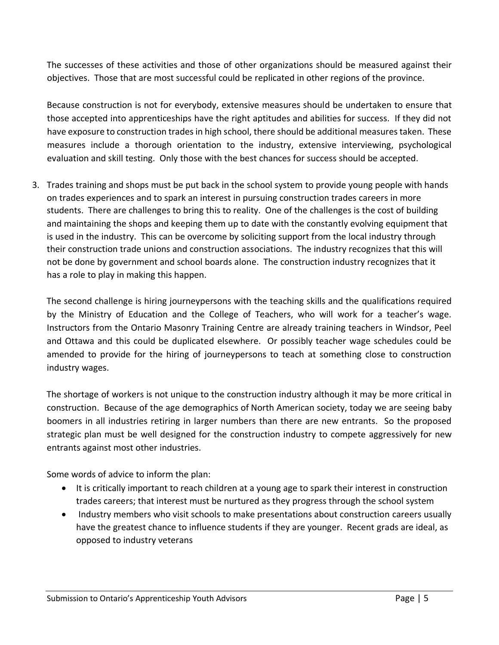The successes of these activities and those of other organizations should be measured against their objectives. Those that are most successful could be replicated in other regions of the province.

Because construction is not for everybody, extensive measures should be undertaken to ensure that those accepted into apprenticeships have the right aptitudes and abilities for success. If they did not have exposure to construction trades in high school, there should be additional measures taken. These measures include a thorough orientation to the industry, extensive interviewing, psychological evaluation and skill testing. Only those with the best chances for success should be accepted.

3. Trades training and shops must be put back in the school system to provide young people with hands on trades experiences and to spark an interest in pursuing construction trades careers in more students. There are challenges to bring this to reality. One of the challenges is the cost of building and maintaining the shops and keeping them up to date with the constantly evolving equipment that is used in the industry. This can be overcome by soliciting support from the local industry through their construction trade unions and construction associations. The industry recognizes that this will not be done by government and school boards alone. The construction industry recognizes that it has a role to play in making this happen.

The second challenge is hiring journeypersons with the teaching skills and the qualifications required by the Ministry of Education and the College of Teachers, who will work for a teacher's wage. Instructors from the Ontario Masonry Training Centre are already training teachers in Windsor, Peel and Ottawa and this could be duplicated elsewhere. Or possibly teacher wage schedules could be amended to provide for the hiring of journeypersons to teach at something close to construction industry wages.

The shortage of workers is not unique to the construction industry although it may be more critical in construction. Because of the age demographics of North American society, today we are seeing baby boomers in all industries retiring in larger numbers than there are new entrants. So the proposed strategic plan must be well designed for the construction industry to compete aggressively for new entrants against most other industries.

Some words of advice to inform the plan:

- It is critically important to reach children at a young age to spark their interest in construction trades careers; that interest must be nurtured as they progress through the school system
- Industry members who visit schools to make presentations about construction careers usually have the greatest chance to influence students if they are younger. Recent grads are ideal, as opposed to industry veterans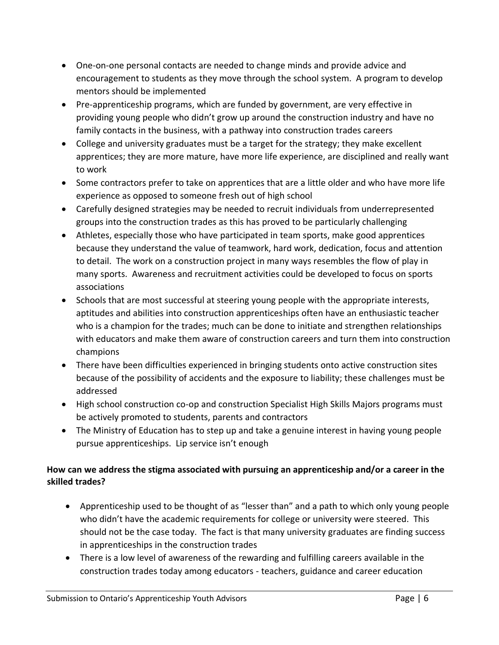- One-on-one personal contacts are needed to change minds and provide advice and encouragement to students as they move through the school system. A program to develop mentors should be implemented
- Pre-apprenticeship programs, which are funded by government, are very effective in providing young people who didn't grow up around the construction industry and have no family contacts in the business, with a pathway into construction trades careers
- College and university graduates must be a target for the strategy; they make excellent apprentices; they are more mature, have more life experience, are disciplined and really want to work
- Some contractors prefer to take on apprentices that are a little older and who have more life experience as opposed to someone fresh out of high school
- Carefully designed strategies may be needed to recruit individuals from underrepresented groups into the construction trades as this has proved to be particularly challenging
- Athletes, especially those who have participated in team sports, make good apprentices because they understand the value of teamwork, hard work, dedication, focus and attention to detail. The work on a construction project in many ways resembles the flow of play in many sports. Awareness and recruitment activities could be developed to focus on sports associations
- Schools that are most successful at steering young people with the appropriate interests, aptitudes and abilities into construction apprenticeships often have an enthusiastic teacher who is a champion for the trades; much can be done to initiate and strengthen relationships with educators and make them aware of construction careers and turn them into construction champions
- There have been difficulties experienced in bringing students onto active construction sites because of the possibility of accidents and the exposure to liability; these challenges must be addressed
- High school construction co-op and construction Specialist High Skills Majors programs must be actively promoted to students, parents and contractors
- The Ministry of Education has to step up and take a genuine interest in having young people pursue apprenticeships. Lip service isn't enough

#### **How can we address the stigma associated with pursuing an apprenticeship and/or a career in the skilled trades?**

- Apprenticeship used to be thought of as "lesser than" and a path to which only young people who didn't have the academic requirements for college or university were steered. This should not be the case today. The fact is that many university graduates are finding success in apprenticeships in the construction trades
- There is a low level of awareness of the rewarding and fulfilling careers available in the construction trades today among educators - teachers, guidance and career education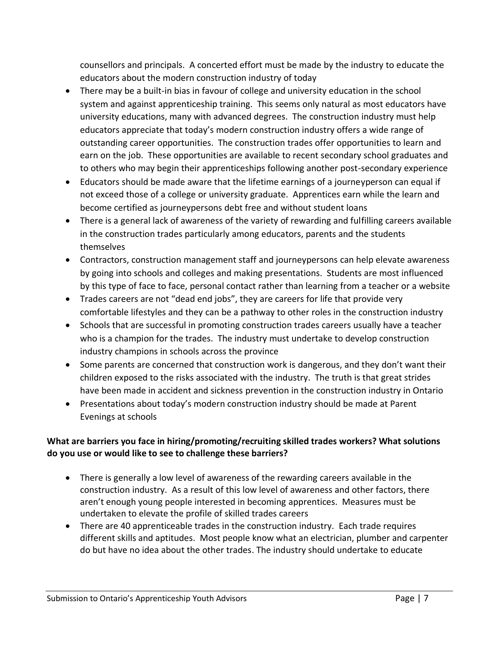counsellors and principals. A concerted effort must be made by the industry to educate the educators about the modern construction industry of today

- There may be a built-in bias in favour of college and university education in the school system and against apprenticeship training. This seems only natural as most educators have university educations, many with advanced degrees. The construction industry must help educators appreciate that today's modern construction industry offers a wide range of outstanding career opportunities. The construction trades offer opportunities to learn and earn on the job. These opportunities are available to recent secondary school graduates and to others who may begin their apprenticeships following another post-secondary experience
- Educators should be made aware that the lifetime earnings of a journeyperson can equal if not exceed those of a college or university graduate. Apprentices earn while the learn and become certified as journeypersons debt free and without student loans
- There is a general lack of awareness of the variety of rewarding and fulfilling careers available in the construction trades particularly among educators, parents and the students themselves
- Contractors, construction management staff and journeypersons can help elevate awareness by going into schools and colleges and making presentations. Students are most influenced by this type of face to face, personal contact rather than learning from a teacher or a website
- Trades careers are not "dead end jobs", they are careers for life that provide very comfortable lifestyles and they can be a pathway to other roles in the construction industry
- Schools that are successful in promoting construction trades careers usually have a teacher who is a champion for the trades. The industry must undertake to develop construction industry champions in schools across the province
- Some parents are concerned that construction work is dangerous, and they don't want their children exposed to the risks associated with the industry. The truth is that great strides have been made in accident and sickness prevention in the construction industry in Ontario
- Presentations about today's modern construction industry should be made at Parent Evenings at schools

#### **What are barriers you face in hiring/promoting/recruiting skilled trades workers? What solutions do you use or would like to see to challenge these barriers?**

- There is generally a low level of awareness of the rewarding careers available in the construction industry. As a result of this low level of awareness and other factors, there aren't enough young people interested in becoming apprentices. Measures must be undertaken to elevate the profile of skilled trades careers
- There are 40 apprenticeable trades in the construction industry. Each trade requires different skills and aptitudes. Most people know what an electrician, plumber and carpenter do but have no idea about the other trades. The industry should undertake to educate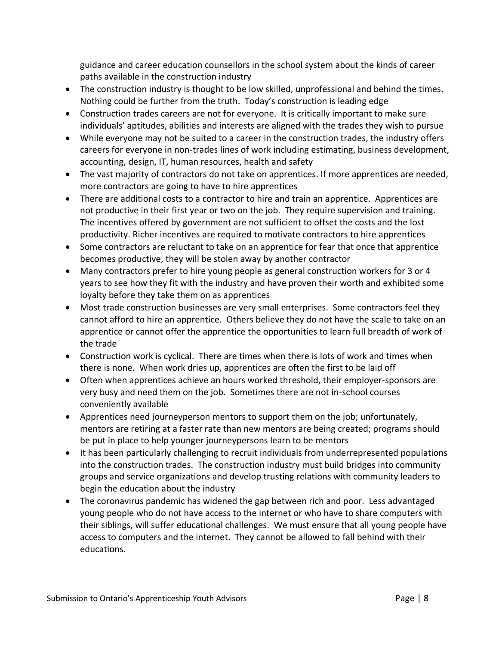guidance and career education counsellors in the school system about the kinds of career paths available in the construction industry

- The construction industry is thought to be low skilled, unprofessional and behind the times. Nothing could be further from the truth. Today's construction is leading edge
- Construction trades careers are not for everyone. It is critically important to make sure individuals' aptitudes, abilities and interests are aligned with the trades they wish to pursue
- While everyone may not be suited to a career in the construction trades, the industry offers careers for everyone in non-trades lines of work including estimating, business development, accounting, design, IT, human resources, health and safety
- The vast majority of contractors do not take on apprentices. If more apprentices are needed, more contractors are going to have to hire apprentices
- There are additional costs to a contractor to hire and train an apprentice. Apprentices are not productive in their first year or two on the job. They require supervision and training. The incentives offered by government are not sufficient to offset the costs and the lost productivity. Richer incentives are required to motivate contractors to hire apprentices
- Some contractors are reluctant to take on an apprentice for fear that once that apprentice becomes productive, they will be stolen away by another contractor
- Many contractors prefer to hire young people as general construction workers for 3 or 4 years to see how they fit with the industry and have proven their worth and exhibited some loyalty before they take them on as apprentices
- Most trade construction businesses are very small enterprises. Some contractors feel they cannot afford to hire an apprentice. Others believe they do not have the scale to take on an apprentice or cannot offer the apprentice the opportunities to learn full breadth of work of the trade
- Construction work is cyclical. There are times when there is lots of work and times when there is none. When work dries up, apprentices are often the first to be laid off
- Often when apprentices achieve an hours worked threshold, their employer-sponsors are very busy and need them on the job. Sometimes there are not in-school courses conveniently available
- Apprentices need journeyperson mentors to support them on the job; unfortunately, mentors are retiring at a faster rate than new mentors are being created; programs should be put in place to help younger journeypersons learn to be mentors
- It has been particularly challenging to recruit individuals from underrepresented populations into the construction trades. The construction industry must build bridges into community groups and service organizations and develop trusting relations with community leaders to begin the education about the industry
- The coronavirus pandemic has widened the gap between rich and poor. Less advantaged young people who do not have access to the internet or who have to share computers with their siblings, will suffer educational challenges. We must ensure that all young people have access to computers and the internet. They cannot be allowed to fall behind with their educations.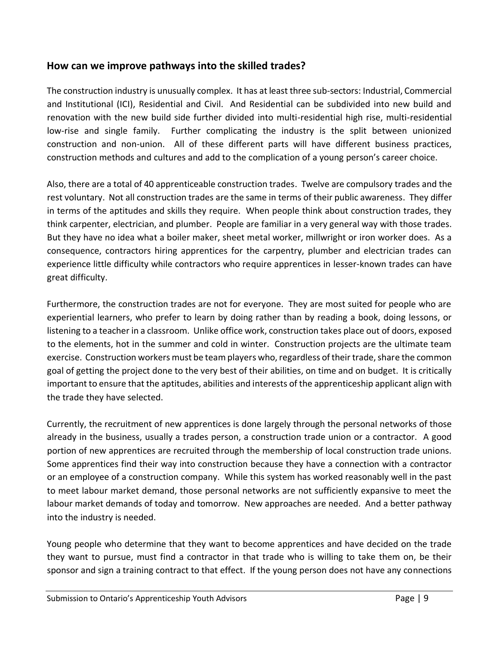# **How can we improve pathways into the skilled trades?**

The construction industry is unusually complex. It has at least three sub-sectors: Industrial, Commercial and Institutional (ICI), Residential and Civil. And Residential can be subdivided into new build and renovation with the new build side further divided into multi-residential high rise, multi-residential low-rise and single family. Further complicating the industry is the split between unionized construction and non-union. All of these different parts will have different business practices, construction methods and cultures and add to the complication of a young person's career choice.

Also, there are a total of 40 apprenticeable construction trades. Twelve are compulsory trades and the rest voluntary. Not all construction trades are the same in terms of their public awareness. They differ in terms of the aptitudes and skills they require. When people think about construction trades, they think carpenter, electrician, and plumber. People are familiar in a very general way with those trades. But they have no idea what a boiler maker, sheet metal worker, millwright or iron worker does. As a consequence, contractors hiring apprentices for the carpentry, plumber and electrician trades can experience little difficulty while contractors who require apprentices in lesser-known trades can have great difficulty.

Furthermore, the construction trades are not for everyone. They are most suited for people who are experiential learners, who prefer to learn by doing rather than by reading a book, doing lessons, or listening to a teacher in a classroom. Unlike office work, construction takes place out of doors, exposed to the elements, hot in the summer and cold in winter. Construction projects are the ultimate team exercise. Construction workers must be team players who, regardless of their trade, share the common goal of getting the project done to the very best of their abilities, on time and on budget. It is critically important to ensure that the aptitudes, abilities and interests of the apprenticeship applicant align with the trade they have selected.

Currently, the recruitment of new apprentices is done largely through the personal networks of those already in the business, usually a trades person, a construction trade union or a contractor. A good portion of new apprentices are recruited through the membership of local construction trade unions. Some apprentices find their way into construction because they have a connection with a contractor or an employee of a construction company. While this system has worked reasonably well in the past to meet labour market demand, those personal networks are not sufficiently expansive to meet the labour market demands of today and tomorrow. New approaches are needed. And a better pathway into the industry is needed.

Young people who determine that they want to become apprentices and have decided on the trade they want to pursue, must find a contractor in that trade who is willing to take them on, be their sponsor and sign a training contract to that effect. If the young person does not have any connections